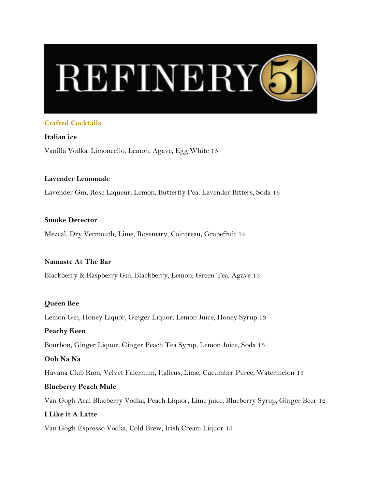

#### **Crafted Cocktails**

**Italian ice** Vanilla Vodka, Limoncello, Lemon, Agave, Egg White 15

#### **Lavender Lemonade**

Lavender Gin, Rose Liqueur, Lemon, Butterfly Pea, Lavender Bitters, Soda 15

#### **Smoke Detector**

Mezcal, Dry Vermouth, Lime, Rosemary, Cointreau, Grapefruit 14

#### **Namaste At The Bar**

Blackberry & Raspberry Gin, Blackberry, Lemon, Green Tea, Agave 13

#### **Queen Bee**

Lemon Gin, Honey Liquor, Ginger Liquor, Lemon Juice, Honey Syrup 13

#### **Peachy Keen**

Bourbon, Ginger Liquor, Ginger Peach Tea Syrup, Lemon Juice, Soda 13

# **Ooh Na Na**

Havana Club Rum, Velvet Falernum, Italicus, Lime, Cucumber Puree, Watermelon 13

#### **Blueberry Peach Mule**

Van Gogh Acai Blueberry Vodka, Peach Liquor, Lime juice, Blueberry Syrup, Ginger Beer 12

#### **I Like it A Latte**

Van Gogh Espresso Vodka, Cold Brew, Irish Cream Liquor 13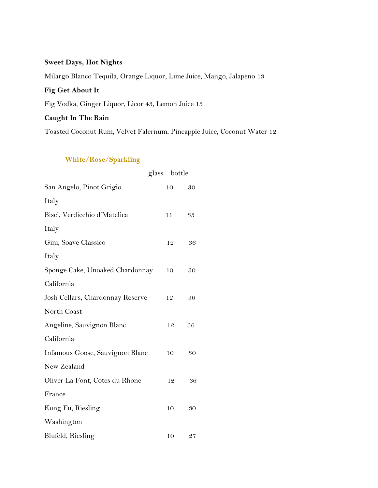## **Sweet Days, Hot Nights**

Milargo Blanco Tequila, Orange Liquor, Lime Juice, Mango, Jalapeno 13

## **Fig Get About It**

Fig Vodka, Ginger Liquor, Licor 43, Lemon Juice 13

## **Caught In The Rain**

Toasted Coconut Rum, Velvet Falernum, Pineapple Juice, Coconut Water 12

## **White/Rose/Sparkling**

|                                  | glass bottle |    |
|----------------------------------|--------------|----|
| San Angelo, Pinot Grigio         | 10           | 30 |
| Italy                            |              |    |
| Bisci, Verdicchio d'Matelica     | 11           | 33 |
| Italy                            |              |    |
| Gini, Soave Classico             | 12           | 36 |
| Italy                            |              |    |
| Sponge Cake, Unoaked Chardonnay  | 10           | 30 |
| California                       |              |    |
| Josh Cellars, Chardonnay Reserve | 12           | 36 |
| North Coast                      |              |    |
| Angeline, Sauvignon Blanc        | 12           | 36 |
| California                       |              |    |
| Infamous Goose, Sauvignon Blanc  | 10           | 30 |
| New Zealand                      |              |    |
| Oliver La Font, Cotes du Rhone   | 12           | 36 |
| France                           |              |    |
| Kung Fu, Riesling                | 10           | 30 |
| Washington                       |              |    |
| Blufeld, Riesling                | 10           | 27 |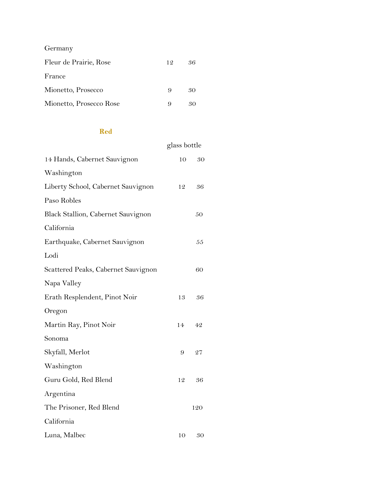| Germany                 |    |    |
|-------------------------|----|----|
| Fleur de Prairie, Rose  | 12 | 36 |
| France                  |    |    |
| Mionetto, Prosecco      | 9  | 30 |
| Mionetto, Prosecco Rose |    |    |

## **Red**

|                                     | glass bottle |     |
|-------------------------------------|--------------|-----|
| 14 Hands, Cabernet Sauvignon        | 10           | 30  |
| Washington                          |              |     |
| Liberty School, Cabernet Sauvignon  | 12           | 36  |
| Paso Robles                         |              |     |
| Black Stallion, Cabernet Sauvignon  |              | 50  |
| California                          |              |     |
| Earthquake, Cabernet Sauvignon      |              | 55  |
| Lodi                                |              |     |
| Scattered Peaks, Cabernet Sauvignon |              | 60  |
| Napa Valley                         |              |     |
| Erath Resplendent, Pinot Noir       | 13           | 36  |
| Oregon                              |              |     |
| Martin Ray, Pinot Noir              | 14           | 42  |
| Sonoma                              |              |     |
| Skyfall, Merlot                     | 9            | 27  |
| Washington                          |              |     |
| Guru Gold, Red Blend                | 12           | 36  |
| Argentina                           |              |     |
| The Prisoner, Red Blend             |              | 120 |
| California                          |              |     |
| Luna, Malbec                        | 10           | 30  |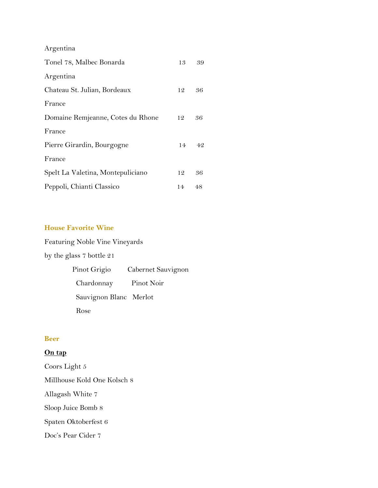Argentina

| Tonel 78, Malbec Bonarda          | 13 | 39 |
|-----------------------------------|----|----|
| Argentina                         |    |    |
| Chateau St. Julian, Bordeaux      | 12 | 36 |
| France                            |    |    |
| Domaine Remjeanne, Cotes du Rhone | 12 | 36 |
| France                            |    |    |
| Pierre Girardin, Bourgogne        | 14 | 42 |
| France                            |    |    |
| Spelt La Valetina, Montepuliciano | 12 | 36 |
| Peppoli, Chianti Classico         | 14 | 48 |

# **House Favorite Wine**

Featuring Noble Vine Vineyards by the glass 7 bottle 21 Pinot Grigio Cabernet Sauvignon Chardonnay Pinot Noir

Sauvignon Blanc Merlot

Rose

#### **Beer**

#### **On tap**

Coors Light 5 Millhouse Kold One Kolsch 8 Allagash White 7 Sloop Juice Bomb 8 Spaten Oktoberfest 6 Doc's Pear Cider 7